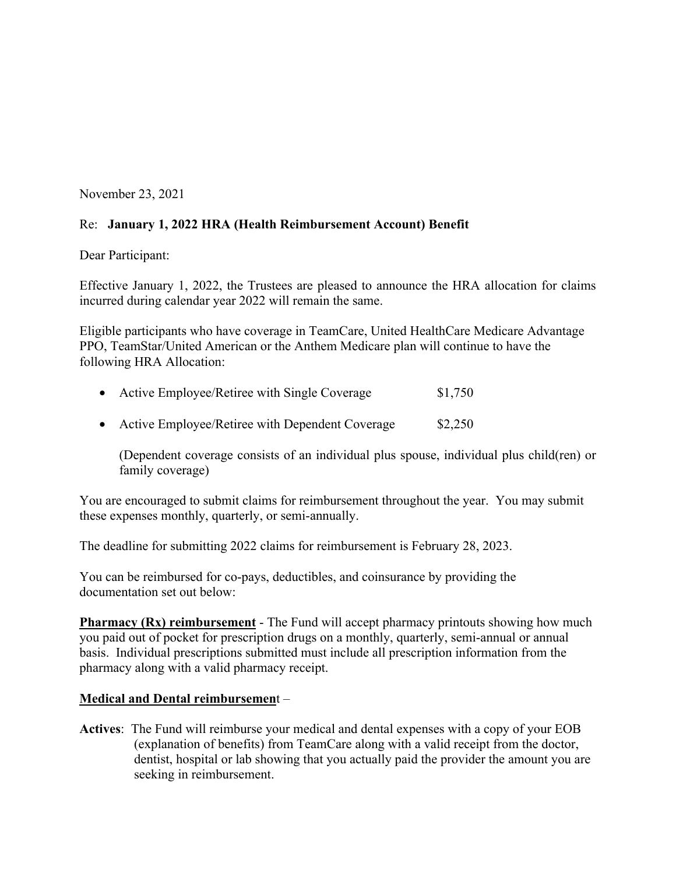November 23, 2021

## Re: **January 1, 2022 HRA (Health Reimbursement Account) Benefit**

Dear Participant:

Effective January 1, 2022, the Trustees are pleased to announce the HRA allocation for claims incurred during calendar year 2022 will remain the same.

Eligible participants who have coverage in TeamCare, United HealthCare Medicare Advantage PPO, TeamStar/United American or the Anthem Medicare plan will continue to have the following HRA Allocation:

| • Active Employee/Retiree with Single Coverage    | \$1,750 |
|---------------------------------------------------|---------|
| • Active Employee/Retiree with Dependent Coverage | \$2,250 |

(Dependent coverage consists of an individual plus spouse, individual plus child(ren) or

family coverage)

You are encouraged to submit claims for reimbursement throughout the year. You may submit these expenses monthly, quarterly, or semi-annually.

The deadline for submitting 2022 claims for reimbursement is February 28, 2023.

You can be reimbursed for co-pays, deductibles, and coinsurance by providing the documentation set out below:

**Pharmacy (Rx) reimbursement** - The Fund will accept pharmacy printouts showing how much you paid out of pocket for prescription drugs on a monthly, quarterly, semi-annual or annual basis. Individual prescriptions submitted must include all prescription information from the pharmacy along with a valid pharmacy receipt.

## **Medical and Dental reimbursemen**t –

**Actives**: The Fund will reimburse your medical and dental expenses with a copy of your EOB (explanation of benefits) from TeamCare along with a valid receipt from the doctor, dentist, hospital or lab showing that you actually paid the provider the amount you are seeking in reimbursement.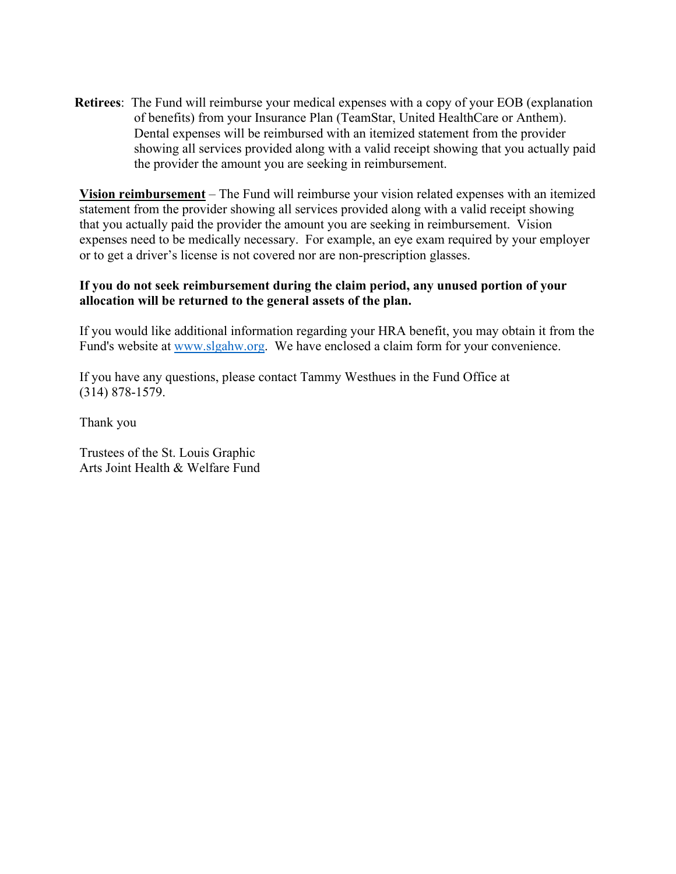**Retirees**: The Fund will reimburse your medical expenses with a copy of your EOB (explanation of benefits) from your Insurance Plan (TeamStar, United HealthCare or Anthem). Dental expenses will be reimbursed with an itemized statement from the provider showing all services provided along with a valid receipt showing that you actually paid the provider the amount you are seeking in reimbursement.

**Vision reimbursement** – The Fund will reimburse your vision related expenses with an itemized statement from the provider showing all services provided along with a valid receipt showing that you actually paid the provider the amount you are seeking in reimbursement. Vision expenses need to be medically necessary. For example, an eye exam required by your employer or to get a driver's license is not covered nor are non-prescription glasses.

## **If you do not seek reimbursement during the claim period, any unused portion of your allocation will be returned to the general assets of the plan.**

If you would like additional information regarding your HRA benefit, you may obtain it from the Fund's website at www.slgahw.org. We have enclosed a claim form for your convenience.

If you have any questions, please contact Tammy Westhues in the Fund Office at (314) 878-1579.

Thank you

Trustees of the St. Louis Graphic Arts Joint Health & Welfare Fund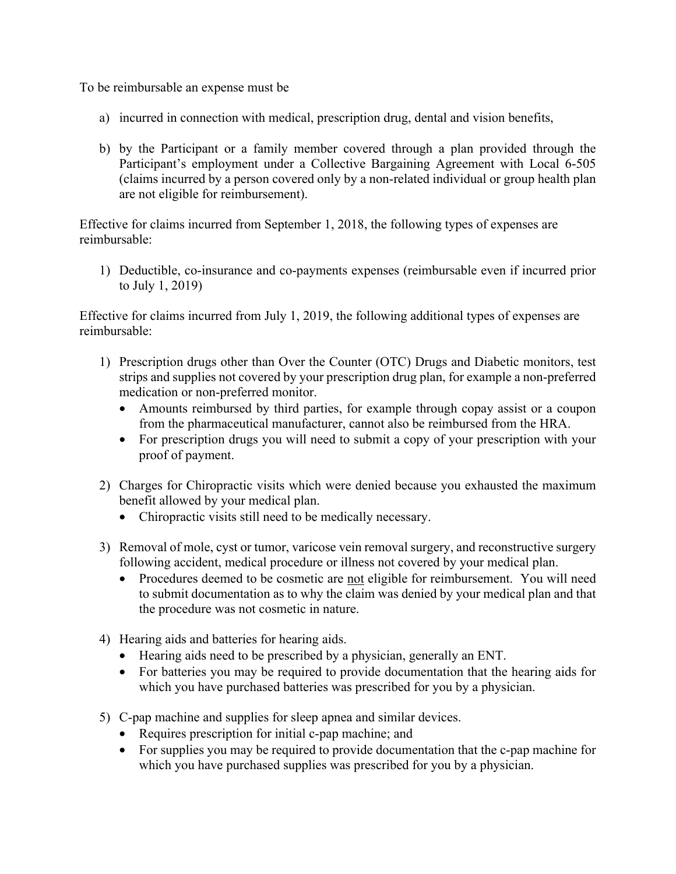To be reimbursable an expense must be

- a) incurred in connection with medical, prescription drug, dental and vision benefits,
- b) by the Participant or a family member covered through a plan provided through the Participant's employment under a Collective Bargaining Agreement with Local 6-505 (claims incurred by a person covered only by a non-related individual or group health plan are not eligible for reimbursement).

Effective for claims incurred from September 1, 2018, the following types of expenses are reimbursable:

1) Deductible, co-insurance and co-payments expenses (reimbursable even if incurred prior to July 1, 2019)

Effective for claims incurred from July 1, 2019, the following additional types of expenses are reimbursable:

- 1) Prescription drugs other than Over the Counter (OTC) Drugs and Diabetic monitors, test strips and supplies not covered by your prescription drug plan, for example a non-preferred medication or non-preferred monitor.
	- Amounts reimbursed by third parties, for example through copay assist or a coupon from the pharmaceutical manufacturer, cannot also be reimbursed from the HRA.
	- For prescription drugs you will need to submit a copy of your prescription with your proof of payment.
- 2) Charges for Chiropractic visits which were denied because you exhausted the maximum benefit allowed by your medical plan.
	- Chiropractic visits still need to be medically necessary.
- 3) Removal of mole, cyst or tumor, varicose vein removal surgery, and reconstructive surgery following accident, medical procedure or illness not covered by your medical plan.
	- Procedures deemed to be cosmetic are not eligible for reimbursement. You will need to submit documentation as to why the claim was denied by your medical plan and that the procedure was not cosmetic in nature.
- 4) Hearing aids and batteries for hearing aids.
	- Hearing aids need to be prescribed by a physician, generally an ENT.
	- For batteries you may be required to provide documentation that the hearing aids for which you have purchased batteries was prescribed for you by a physician.
- 5) C-pap machine and supplies for sleep apnea and similar devices.
	- Requires prescription for initial c-pap machine; and
	- For supplies you may be required to provide documentation that the c-pap machine for which you have purchased supplies was prescribed for you by a physician.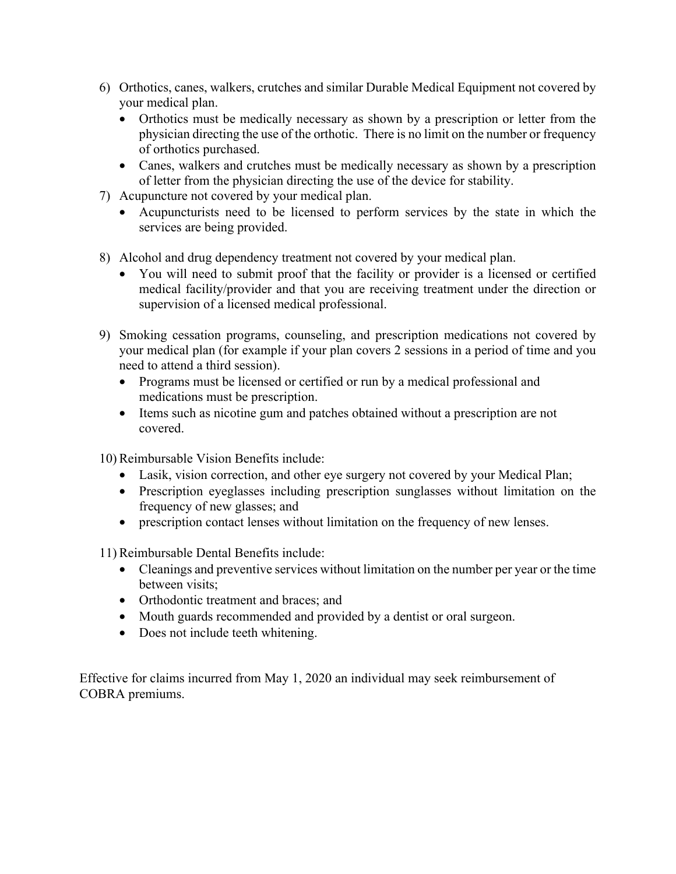- 6) Orthotics, canes, walkers, crutches and similar Durable Medical Equipment not covered by your medical plan.
	- Orthotics must be medically necessary as shown by a prescription or letter from the physician directing the use of the orthotic. There is no limit on the number or frequency of orthotics purchased.
	- Canes, walkers and crutches must be medically necessary as shown by a prescription of letter from the physician directing the use of the device for stability.
- 7) Acupuncture not covered by your medical plan.
	- Acupuncturists need to be licensed to perform services by the state in which the services are being provided.
- 8) Alcohol and drug dependency treatment not covered by your medical plan.
	- You will need to submit proof that the facility or provider is a licensed or certified medical facility/provider and that you are receiving treatment under the direction or supervision of a licensed medical professional.
- 9) Smoking cessation programs, counseling, and prescription medications not covered by your medical plan (for example if your plan covers 2 sessions in a period of time and you need to attend a third session).
	- Programs must be licensed or certified or run by a medical professional and medications must be prescription.
	- Items such as nicotine gum and patches obtained without a prescription are not covered.

10) Reimbursable Vision Benefits include:

- Lasik, vision correction, and other eye surgery not covered by your Medical Plan;
- Prescription eyeglasses including prescription sunglasses without limitation on the frequency of new glasses; and
- prescription contact lenses without limitation on the frequency of new lenses.

11) Reimbursable Dental Benefits include:

- Cleanings and preventive services without limitation on the number per year or the time between visits;
- Orthodontic treatment and braces; and
- Mouth guards recommended and provided by a dentist or oral surgeon.
- Does not include teeth whitening.

Effective for claims incurred from May 1, 2020 an individual may seek reimbursement of COBRA premiums.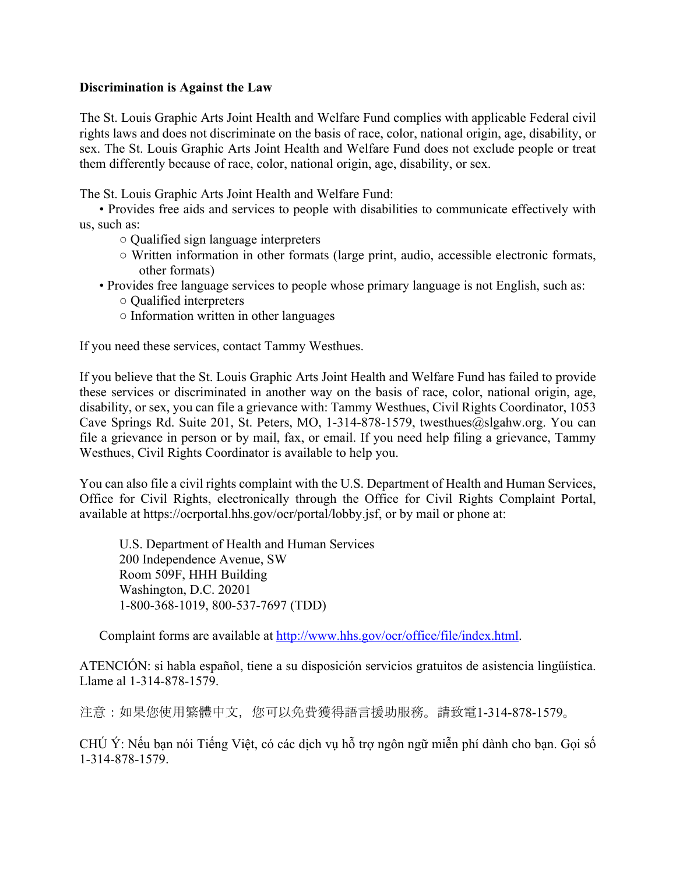## **Discrimination is Against the Law**

The St. Louis Graphic Arts Joint Health and Welfare Fund complies with applicable Federal civil rights laws and does not discriminate on the basis of race, color, national origin, age, disability, or sex. The St. Louis Graphic Arts Joint Health and Welfare Fund does not exclude people or treat them differently because of race, color, national origin, age, disability, or sex.

The St. Louis Graphic Arts Joint Health and Welfare Fund:

• Provides free aids and services to people with disabilities to communicate effectively with us, such as:

- Qualified sign language interpreters
- Written information in other formats (large print, audio, accessible electronic formats, other formats)
- Provides free language services to people whose primary language is not English, such as:
	- Qualified interpreters
	- Information written in other languages

If you need these services, contact Tammy Westhues.

If you believe that the St. Louis Graphic Arts Joint Health and Welfare Fund has failed to provide these services or discriminated in another way on the basis of race, color, national origin, age, disability, or sex, you can file a grievance with: Tammy Westhues, Civil Rights Coordinator, 1053 Cave Springs Rd. Suite 201, St. Peters, MO, 1-314-878-1579, twesthues@slgahw.org. You can file a grievance in person or by mail, fax, or email. If you need help filing a grievance, Tammy Westhues, Civil Rights Coordinator is available to help you.

You can also file a civil rights complaint with the U.S. Department of Health and Human Services, Office for Civil Rights, electronically through the Office for Civil Rights Complaint Portal, available at https://ocrportal.hhs.gov/ocr/portal/lobby.jsf, or by mail or phone at:

U.S. Department of Health and Human Services 200 Independence Avenue, SW Room 509F, HHH Building Washington, D.C. 20201 1-800-368-1019, 800-537-7697 (TDD)

Complaint forms are available at http://www.hhs.gov/ocr/office/file/index.html.

ATENCIÓN: si habla español, tiene a su disposición servicios gratuitos de asistencia lingüística. Llame al 1-314-878-1579.

注意:如果您使用繁體中文,您可以免費獲得語言援助服務。請致電1-314-878-1579。

CHÚ Ý: Nếu bạn nói Tiếng Việt, có các dịch vụ hỗ trợ ngôn ngữ miễn phí dành cho bạn. Gọi số 1-314-878-1579.